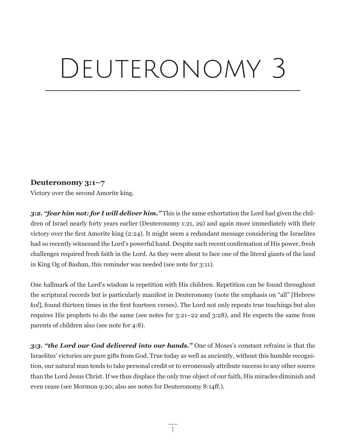# DEUTERONOMY 3

\_\_\_\_\_\_\_\_\_\_\_\_\_\_\_\_\_\_\_\_\_\_\_\_\_\_\_\_\_\_\_\_\_\_\_\_\_\_\_\_\_\_\_\_\_\_\_\_\_\_\_\_\_\_\_\_\_\_\_\_\_\_\_\_\_\_\_\_\_\_\_\_\_\_\_\_\_\_\_\_\_\_\_\_\_\_\_\_\_\_\_\_\_\_\_\_

# **Deuteronomy 3:1–7**

Victory over the second Amorite king.

*3:2. "fear him not: for I will deliver him."* This is the same exhortation the Lord had given the children of Israel nearly forty years earlier (Deuteronomy 1:21, 29) and again more immediately with their victory over the first Amorite king (2:24). It might seem a redundant message considering the Israelites had so recently witnessed the Lord's powerful hand. Despite such recent confirmation of His power, fresh challenges required fresh faith in the Lord. As they were about to face one of the literal giants of the land in King Og of Bashan, this reminder was needed (see note for 3:11).

One hallmark of the Lord's wisdom is repetition with His children. Repetition can be found throughout the scriptural records but is particularly manifest in Deuteronomy (note the emphasis on "all" [Hebrew *kol*], found thirteen times in the first fourteen verses). The Lord not only repeats true teachings but also requires His prophets to do the same (see notes for 3:21–22 and 3:28), and He expects the same from parents of children also (see note for 4:8).

*3:3. "the Lord our God delivered into our hands."* One of Moses's constant refrains is that the Israelites' victories are pure gifts from God. True today as well as anciently, without this humble recognition, our natural man tends to take personal credit or to erroneously attribute success to any other source than the Lord Jesus Christ. If we thus displace the only true object of our faith, His miracles diminish and even cease (see Mormon 9:20; also see notes for Deuteronomy 8:14ff.).

1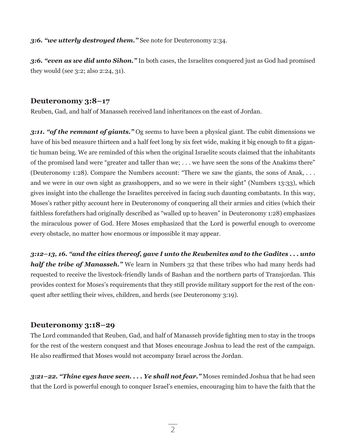#### *3:6. "we utterly destroyed them."* See note for Deuteronomy 2:34.

*3:6. "even as we did unto Sihon."* In both cases, the Israelites conquered just as God had promised they would (see 3:2; also 2:24, 31).

### **Deuteronomy 3:8–17**

Reuben, Gad, and half of Manasseh received land inheritances on the east of Jordan.

*3:11. "of the remnant of giants."* Og seems to have been a physical giant. The cubit dimensions we have of his bed measure thirteen and a half feet long by six feet wide, making it big enough to fit a gigantic human being. We are reminded of this when the original Israelite scouts claimed that the inhabitants of the promised land were "greater and taller than we; . . . we have seen the sons of the Anakims there" (Deuteronomy 1:28). Compare the Numbers account: "There we saw the giants, the sons of Anak, . . . and we were in our own sight as grasshoppers, and so we were in their sight" (Numbers 13:33), which gives insight into the challenge the Israelites perceived in facing such daunting combatants. In this way, Moses's rather pithy account here in Deuteronomy of conquering all their armies and cities (which their faithless forefathers had originally described as "walled up to heaven" in Deuteronomy 1:28) emphasizes the miraculous power of God. Here Moses emphasized that the Lord is powerful enough to overcome every obstacle, no matter how enormous or impossible it may appear.

*3:12–13, 16. "and the cities thereof, gave I unto the Reubenites and to the Gadites . . . unto half the tribe of Manasseh.*" We learn in Numbers 32 that these tribes who had many herds had requested to receive the livestock-friendly lands of Bashan and the northern parts of Transjordan. This provides context for Moses's requirements that they still provide military support for the rest of the conquest after settling their wives, children, and herds (see Deuteronomy 3:19).

# **Deuteronomy 3:18–29**

The Lord commanded that Reuben, Gad, and half of Manasseh provide fighting men to stay in the troops for the rest of the western conquest and that Moses encourage Joshua to lead the rest of the campaign. He also reaffirmed that Moses would not accompany Israel across the Jordan.

*3:21–22. "Thine eyes have seen. . . . Ye shall not fear."* Moses reminded Joshua that he had seen that the Lord is powerful enough to conquer Israel's enemies, encouraging him to have the faith that the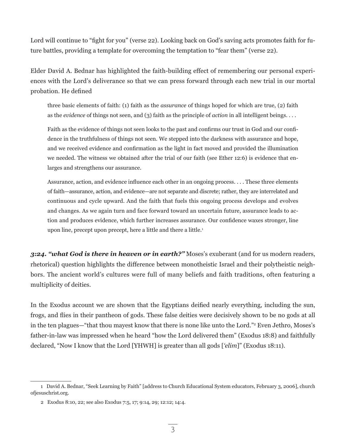Lord will continue to "fight for you" (verse 22). Looking back on God's saving acts promotes faith for future battles, providing a template for overcoming the temptation to "fear them" (verse 22).

Elder David A. Bednar has highlighted the faith-building effect of remembering our personal experiences with the Lord's deliverance so that we can press forward through each new trial in our mortal probation. He defined

three basic elements of faith: (1) faith as the *assurance* of things hoped for which are true, (2) faith as the *evidence* of things not seen, and (3) faith as the principle of *action* in all intelligent beings. . . .

Faith as the evidence of things not seen looks to the past and confirms our trust in God and our confidence in the truthfulness of things not seen. We stepped into the darkness with assurance and hope, and we received evidence and confirmation as the light in fact moved and provided the illumination we needed. The witness we obtained after the trial of our faith (see Ether 12:6) is evidence that enlarges and strengthens our assurance.

Assurance, action, and evidence influence each other in an ongoing process. . . . These three elements of faith—assurance, action, and evidence—are not separate and discrete; rather, they are interrelated and continuous and cycle upward. And the faith that fuels this ongoing process develops and evolves and changes. As we again turn and face forward toward an uncertain future, assurance leads to action and produces evidence, which further increases assurance. Our confidence waxes stronger, line upon line, precept upon precept, here a little and there a little.<sup>1</sup>

*3:24. "what God is there in heaven or in earth?"* Moses's exuberant (and for us modern readers, rhetorical) question highlights the difference between monotheistic Israel and their polytheistic neighbors. The ancient world's cultures were full of many beliefs and faith traditions, often featuring a multiplicity of deities.

In the Exodus account we are shown that the Egyptians deified nearly everything, including the sun, frogs, and flies in their pantheon of gods. These false deities were decisively shown to be no gods at all in the ten plagues—"that thou mayest know that there is none like unto the Lord."2 Even Jethro, Moses's father-in-law was impressed when he heard "how the Lord delivered them" (Exodus 18:8) and faithfully declared, "Now I know that the Lord [YHWH] is greater than all gods [*'elim*]" (Exodus 18:11).

<sup>1</sup> David A. Bednar, "Seek Learning by Faith" [address to Church Educational System educators, February 3, 2006], church ofjesuschrist.org.

<sup>2</sup> Exodus 8:10, 22; see also Exodus 7:5, 17; 9:14, 29; 12:12; 14:4.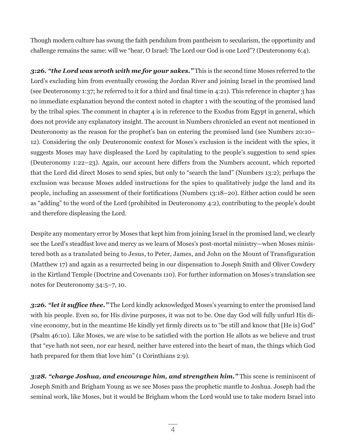Though modern culture has swung the faith pendulum from pantheism to secularism, the opportunity and challenge remains the same: will we "hear, O Israel: The Lord our God is one Lord"? (Deuteronomy 6:4).

*3:26. "the Lord was wroth with me for your sakes."* This is the second time Moses referred to the Lord's excluding him from eventually crossing the Jordan River and joining Israel in the promised land (see Deuteronomy 1:37; he referred to it for a third and final time in 4:21). This reference in chapter 3 has no immediate explanation beyond the context noted in chapter 1 with the scouting of the promised land by the tribal spies. The comment in chapter 4 is in reference to the Exodus from Egypt in general, which does not provide any explanatory insight. The account in Numbers chronicled an event not mentioned in Deuteronomy as the reason for the prophet's ban on entering the promised land (see Numbers 20:10– 12). Considering the only Deuteronomic context for Moses's exclusion is the incident with the spies, it suggests Moses may have displeased the Lord by capitulating to the people's suggestion to send spies (Deuteronomy 1:22–23). Again, our account here differs from the Numbers account, which reported that the Lord did direct Moses to send spies, but only to "search the land" (Numbers 13:2); perhaps the exclusion was because Moses added instructions for the spies to qualitatively judge the land and its people, including an assessment of their fortifications (Numbers 13:18–20). Either action could be seen as "adding" to the word of the Lord (prohibited in Deuteronomy 4:2), contributing to the people's doubt and therefore displeasing the Lord.

Despite any momentary error by Moses that kept him from joining Israel in the promised land, we clearly see the Lord's steadfast love and mercy as we learn of Moses's post-mortal ministry—when Moses ministered both as a translated being to Jesus, to Peter, James, and John on the Mount of Transfiguration (Matthew 17) and again as a resurrected being in our dispensation to Joseph Smith and Oliver Cowdery in the Kirtland Temple (Doctrine and Covenants 110). For further information on Moses's translation see notes for Deuteronomy 34:5–7, 10.

*3:26. "let it suffice thee."* The Lord kindly acknowledged Moses's yearning to enter the promised land with his people. Even so, for His divine purposes, it was not to be. One day God will fully unfurl His divine economy, but in the meantime He kindly yet firmly directs us to "be still and know that [He is] God" (Psalm 46:10). Like Moses, we are wise to be satisfied with the portion He allots as we believe and trust that "eye hath not seen, nor ear heard, neither have entered into the heart of man, the things which God hath prepared for them that love him" (1 Corinthians 2:9).

*3:28. "charge Joshua, and encourage him, and strengthen him."* This scene is reminiscent of Joseph Smith and Brigham Young as we see Moses pass the prophetic mantle to Joshua. Joseph had the seminal work, like Moses, but it would be Brigham whom the Lord would use to take modern Israel into